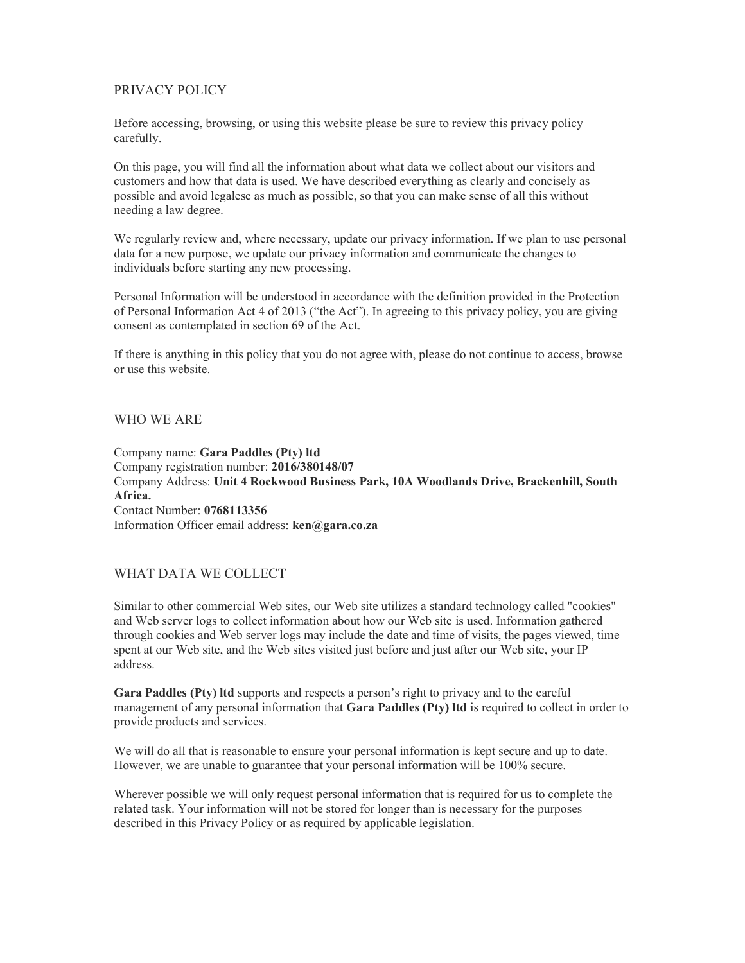# PRIVACY POLICY

Before accessing, browsing, or using this website please be sure to review this privacy policy carefully.

On this page, you will find all the information about what data we collect about our visitors and customers and how that data is used. We have described everything as clearly and concisely as possible and avoid legalese as much as possible, so that you can make sense of all this without needing a law degree.

We regularly review and, where necessary, update our privacy information. If we plan to use personal data for a new purpose, we update our privacy information and communicate the changes to individuals before starting any new processing.

Personal Information will be understood in accordance with the definition provided in the Protection of Personal Information Act 4 of 2013 ("the Act"). In agreeing to this privacy policy, you are giving consent as contemplated in section 69 of the Act.

If there is anything in this policy that you do not agree with, please do not continue to access, browse or use this website.

#### WHO WE ARE

Company name: Gara Paddles (Pty) ltd Company registration number: 2016/380148/07 Company Address: Unit 4 Rockwood Business Park, 10A Woodlands Drive, Brackenhill, South Africa. Contact Number: 0768113356 Information Officer email address: ken@gara.co.za

#### WHAT DATA WE COLLECT

Similar to other commercial Web sites, our Web site utilizes a standard technology called "cookies" and Web server logs to collect information about how our Web site is used. Information gathered through cookies and Web server logs may include the date and time of visits, the pages viewed, time spent at our Web site, and the Web sites visited just before and just after our Web site, your IP address.

Gara Paddles (Pty) ltd supports and respects a person's right to privacy and to the careful management of any personal information that Gara Paddles (Pty) ltd is required to collect in order to provide products and services.

We will do all that is reasonable to ensure your personal information is kept secure and up to date. However, we are unable to guarantee that your personal information will be 100% secure.

Wherever possible we will only request personal information that is required for us to complete the related task. Your information will not be stored for longer than is necessary for the purposes described in this Privacy Policy or as required by applicable legislation.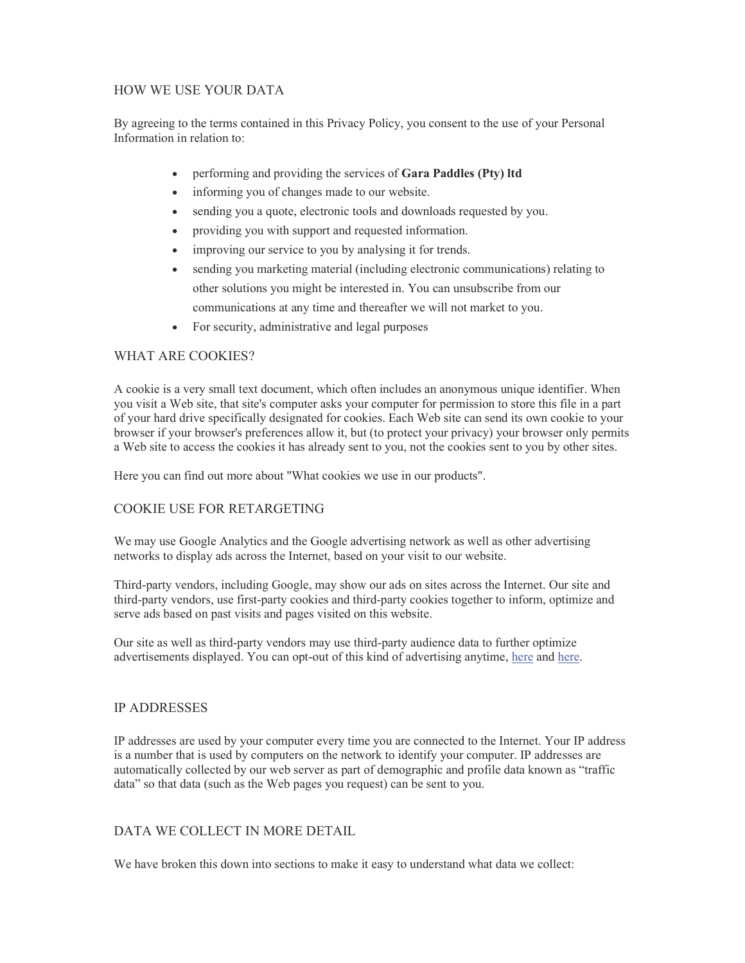# HOW WE USE YOUR DATA

By agreeing to the terms contained in this Privacy Policy, you consent to the use of your Personal Information in relation to:

- performing and providing the services of Gara Paddles (Pty) ltd
- informing you of changes made to our website.
- sending you a quote, electronic tools and downloads requested by you.
- providing you with support and requested information.
- improving our service to you by analysing it for trends.
- sending you marketing material (including electronic communications) relating to other solutions you might be interested in. You can unsubscribe from our communications at any time and thereafter we will not market to you.
- For security, administrative and legal purposes

#### WHAT ARE COOKIES?

A cookie is a very small text document, which often includes an anonymous unique identifier. When you visit a Web site, that site's computer asks your computer for permission to store this file in a part of your hard drive specifically designated for cookies. Each Web site can send its own cookie to your browser if your browser's preferences allow it, but (to protect your privacy) your browser only permits a Web site to access the cookies it has already sent to you, not the cookies sent to you by other sites.

Here you can find out more about "What cookies we use in our products".

### COOKIE USE FOR RETARGETING

We may use Google Analytics and the Google advertising network as well as other advertising networks to display ads across the Internet, based on your visit to our website.

Third-party vendors, including Google, may show our ads on sites across the Internet. Our site and third-party vendors, use first-party cookies and third-party cookies together to inform, optimize and serve ads based on past visits and pages visited on this website.

Our site as well as third-party vendors may use third-party audience data to further optimize advertisements displayed. You can opt-out of this kind of advertising anytime, here and here.

#### IP ADDRESSES

IP addresses are used by your computer every time you are connected to the Internet. Your IP address is a number that is used by computers on the network to identify your computer. IP addresses are automatically collected by our web server as part of demographic and profile data known as "traffic data" so that data (such as the Web pages you request) can be sent to you.

### DATA WE COLLECT IN MORE DETAIL

We have broken this down into sections to make it easy to understand what data we collect: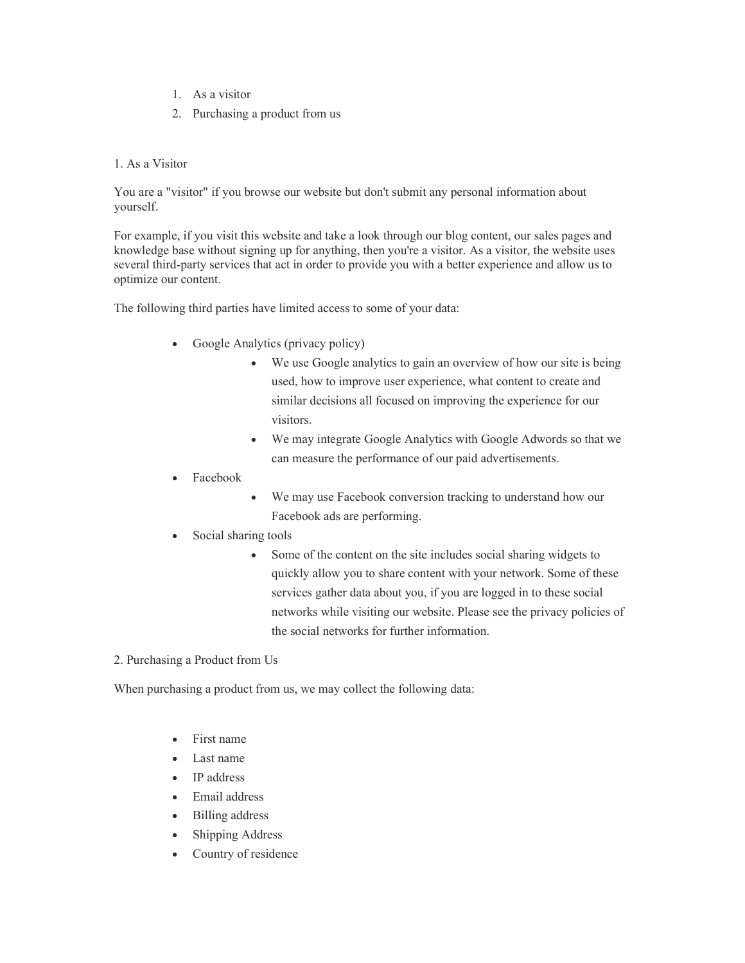- 1. As a visitor
- 2. Purchasing a product from us

#### 1. As a Visitor

You are a "visitor" if you browse our website but don't submit any personal information about yourself.

For example, if you visit this website and take a look through our blog content, our sales pages and knowledge base without signing up for anything, then you're a visitor. As a visitor, the website uses several third-party services that act in order to provide you with a better experience and allow us to optimize our content.

The following third parties have limited access to some of your data:

- Google Analytics (privacy policy)
	- We use Google analytics to gain an overview of how our site is being used, how to improve user experience, what content to create and similar decisions all focused on improving the experience for our visitors.
	- We may integrate Google Analytics with Google Adwords so that we can measure the performance of our paid advertisements.
- Facebook
- We may use Facebook conversion tracking to understand how our Facebook ads are performing.
- Social sharing tools
	- Some of the content on the site includes social sharing widgets to quickly allow you to share content with your network. Some of these services gather data about you, if you are logged in to these social networks while visiting our website. Please see the privacy policies of the social networks for further information.
- 2. Purchasing a Product from Us

When purchasing a product from us, we may collect the following data:

- First name
- Last name
- IP address
- Email address
- Billing address
- Shipping Address
- Country of residence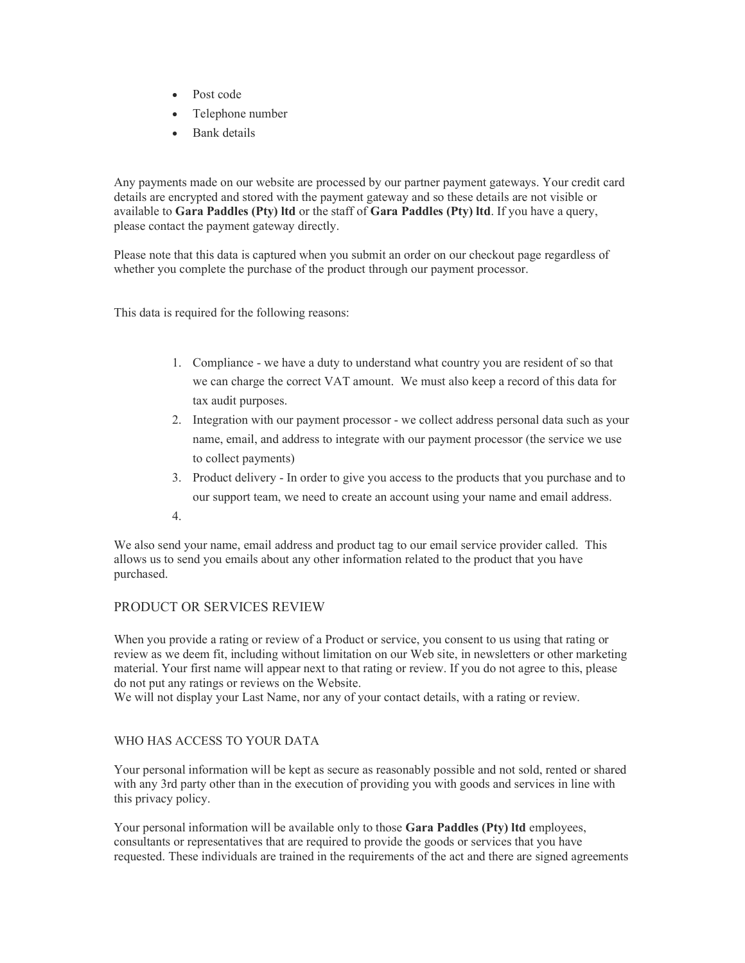- Post code
- Telephone number
- Bank details

Any payments made on our website are processed by our partner payment gateways. Your credit card details are encrypted and stored with the payment gateway and so these details are not visible or available to Gara Paddles (Pty) ltd or the staff of Gara Paddles (Pty) ltd. If you have a query, please contact the payment gateway directly.

Please note that this data is captured when you submit an order on our checkout page regardless of whether you complete the purchase of the product through our payment processor.

This data is required for the following reasons:

- 1. Compliance we have a duty to understand what country you are resident of so that we can charge the correct VAT amount. We must also keep a record of this data for tax audit purposes.
- 2. Integration with our payment processor we collect address personal data such as your name, email, and address to integrate with our payment processor (the service we use to collect payments)
- 3. Product delivery In order to give you access to the products that you purchase and to our support team, we need to create an account using your name and email address.
- 4.

We also send your name, email address and product tag to our email service provider called. This allows us to send you emails about any other information related to the product that you have purchased.

#### PRODUCT OR SERVICES REVIEW

When you provide a rating or review of a Product or service, you consent to us using that rating or review as we deem fit, including without limitation on our Web site, in newsletters or other marketing material. Your first name will appear next to that rating or review. If you do not agree to this, please do not put any ratings or reviews on the Website.

We will not display your Last Name, nor any of your contact details, with a rating or review.

#### WHO HAS ACCESS TO YOUR DATA

Your personal information will be kept as secure as reasonably possible and not sold, rented or shared with any 3rd party other than in the execution of providing you with goods and services in line with this privacy policy.

Your personal information will be available only to those Gara Paddles (Pty) ltd employees, consultants or representatives that are required to provide the goods or services that you have requested. These individuals are trained in the requirements of the act and there are signed agreements